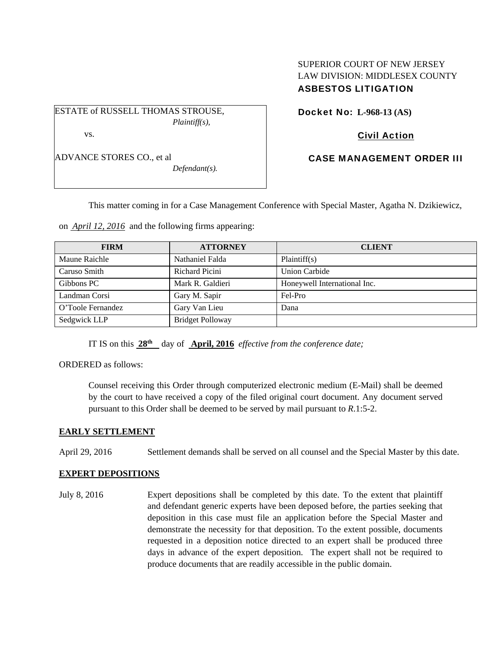ESTATE of RUSSELL THOMAS STROUSE, *Plaintiff(s),* 

vs.

ADVANCE STORES CO., et al

*Defendant(s).* 

SUPERIOR COURT OF NEW JERSEY LAW DIVISION: MIDDLESEX COUNTY ASBESTOS LITIGATION

Docket No: **L-968-13 (AS)** 

# Civil Action

# CASE MANAGEMENT ORDER III

This matter coming in for a Case Management Conference with Special Master, Agatha N. Dzikiewicz,

on *April 12, 2016* and the following firms appearing:

| <b>FIRM</b>       | <b>ATTORNEY</b>         | <b>CLIENT</b>                |
|-------------------|-------------------------|------------------------------|
| Maune Raichle     | Nathaniel Falda         | Plaintiff(s)                 |
| Caruso Smith      | Richard Picini          | <b>Union Carbide</b>         |
| Gibbons PC        | Mark R. Galdieri        | Honeywell International Inc. |
| Landman Corsi     | Gary M. Sapir           | Fel-Pro                      |
| O'Toole Fernandez | Gary Van Lieu           | Dana                         |
| Sedgwick LLP      | <b>Bridget Polloway</b> |                              |

IT IS on this **28th** day of **April, 2016** *effective from the conference date;*

ORDERED as follows:

Counsel receiving this Order through computerized electronic medium (E-Mail) shall be deemed by the court to have received a copy of the filed original court document. Any document served pursuant to this Order shall be deemed to be served by mail pursuant to *R*.1:5-2.

## **EARLY SETTLEMENT**

April 29, 2016 Settlement demands shall be served on all counsel and the Special Master by this date.

## **EXPERT DEPOSITIONS**

July 8, 2016 Expert depositions shall be completed by this date. To the extent that plaintiff and defendant generic experts have been deposed before, the parties seeking that deposition in this case must file an application before the Special Master and demonstrate the necessity for that deposition. To the extent possible, documents requested in a deposition notice directed to an expert shall be produced three days in advance of the expert deposition. The expert shall not be required to produce documents that are readily accessible in the public domain.